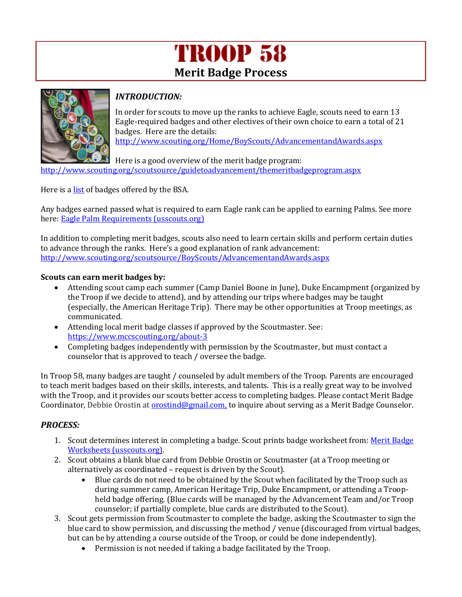## **TROOP 58 Merit Badge Process**



## *INTRODUCTION:*

In order for scouts to move up the ranks to achieve Eagle, scouts need to earn 13 Eagle-required badges and other electives of their own choice to earn a total of 21 badges. Here are the details:

<http://www.scouting.org/Home/BoyScouts/AdvancementandAwards.aspx>

Here is a good overview of the merit badge program: <http://www.scouting.org/scoutsource/guidetoadvancement/themeritbadgeprogram.aspx>

Here is a **list** of badges offered by the BSA.

Any badges earned passed what is required to earn Eagle rank can be applied to earning Palms. See more here[: Eagle Palm Requirements \(usscouts.org\)](http://usscouts.org/advance/ScoutsBSA/rank8.asp#:~:text=Eagle%20Palm%20Requirements%20%20%20%20Palm%20Number,%20%20%20%2020%20more%20rows%20)

In addition to completing merit badges, scouts also need to learn certain skills and perform certain duties to advance through the ranks. Here's a good explanation of rank advancement: <http://www.scouting.org/scoutsource/BoyScouts/AdvancementandAwards.aspx>

## **Scouts can earn merit badges by:**

- Attending scout camp each summer (Camp Daniel Boone in June), Duke Encampment (organized by the Troop if we decide to attend), and by attending our trips where badges may be taught (especially, the American Heritage Trip). There may be other opportunities at Troop meetings, as communicated.
- Attending local merit badge classes if approved by the Scoutmaster. See: <https://www.mccscouting.org/about-3>
- Completing badges independently with permission by the Scoutmaster, but must contact a counselor that is approved to teach / oversee the badge.

In Troop 58, many badges are taught / counseled by adult members of the Troop. Parents are encouraged to teach merit badges based on their skills, interests, and talents. This is a really great way to be involved with the Troop, and it provides our scouts better access to completing badges. Please contact Merit Badge Coordinator, Debbie Orostin at **orostind@gmail.com**, to inquire about serving as a Merit Badge Counselor.

## *PROCESS:*

- 1. Scout determines interest in completing a badge. Scout prints badge worksheet from: Merit Badge [Worksheets \(usscouts.org\).](http://usscouts.org/mb/worksheets/list.asp)
- 2. Scout obtains a blank blue card from Debbie Orostin or Scoutmaster (at a Troop meeting or alternatively as coordinated – request is driven by the Scout).
	- Blue cards do not need to be obtained by the Scout when facilitated by the Troop such as during summer camp, American Heritage Trip, Duke Encampment, or attending a Troopheld badge offering. (Blue cards will be managed by the Advancement Team and/or Troop counselor; if partially complete, blue cards are distributed to the Scout).
- 3. Scout gets permission from Scoutmaster to complete the badge, asking the Scoutmaster to sign the blue card to show permission, and discussing the method / venue (discouraged from virtual badges, but can be by attending a course outside of the Troop, or could be done independently).
	- Permission is not needed if taking a badge facilitated by the Troop.